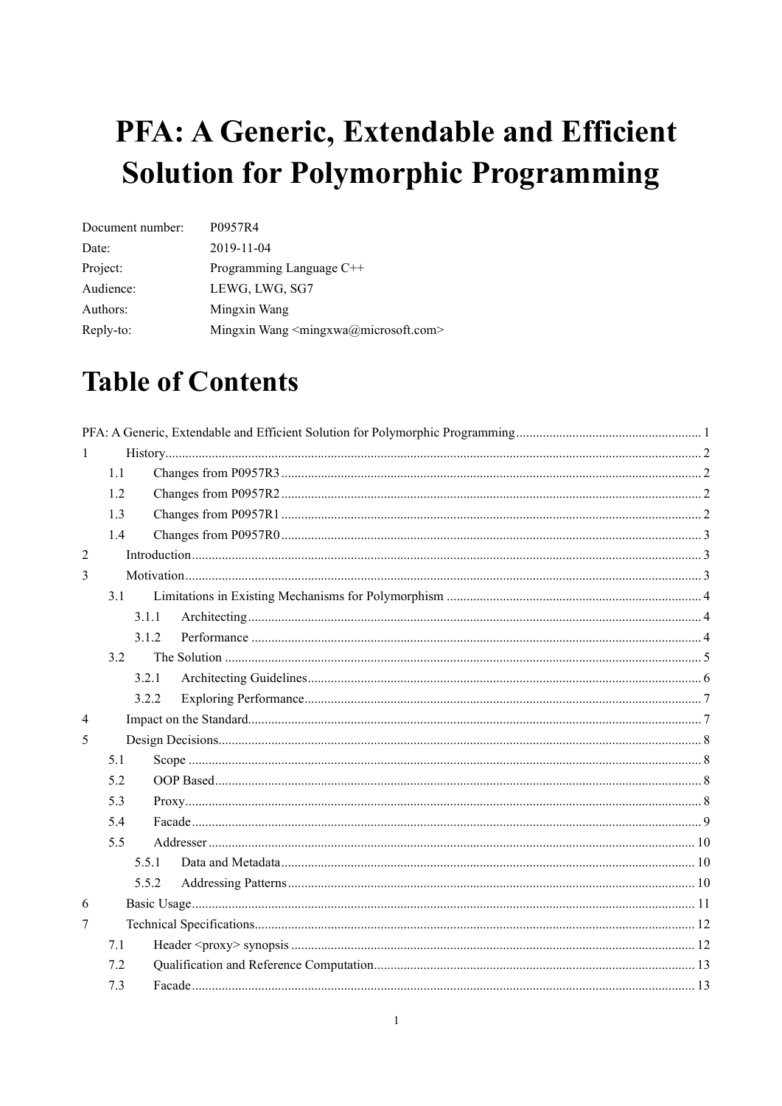# <span id="page-0-0"></span>PFA: A Generic, Extendable and Efficient **Solution for Polymorphic Programming**

| Document number: | P0957R4                                                      |
|------------------|--------------------------------------------------------------|
| Date:            | 2019-11-04                                                   |
| Project:         | Programming Language C++                                     |
| Audience:        | LEWG, LWG, SG7                                               |
| Authors:         | Mingxin Wang                                                 |
| Reply-to:        | Mingxin Wang <mingxwa@microsoft.com></mingxwa@microsoft.com> |

## **Table of Contents**

| 1              |       |  |  |  |  |  |
|----------------|-------|--|--|--|--|--|
|                | 1.1   |  |  |  |  |  |
|                | 1.2   |  |  |  |  |  |
|                | 1.3   |  |  |  |  |  |
|                | 1.4   |  |  |  |  |  |
| $\overline{2}$ |       |  |  |  |  |  |
| 3              |       |  |  |  |  |  |
|                | 3.1   |  |  |  |  |  |
|                | 3.1.1 |  |  |  |  |  |
|                | 3.1.2 |  |  |  |  |  |
|                | 3.2   |  |  |  |  |  |
|                | 3.2.1 |  |  |  |  |  |
|                | 3.2.2 |  |  |  |  |  |
| $\overline{4}$ |       |  |  |  |  |  |
| 5              |       |  |  |  |  |  |
|                | 5.1   |  |  |  |  |  |
|                | 5.2   |  |  |  |  |  |
|                | 5.3   |  |  |  |  |  |
|                | 5.4   |  |  |  |  |  |
|                | 5.5   |  |  |  |  |  |
|                | 5.5.1 |  |  |  |  |  |
|                | 5.5.2 |  |  |  |  |  |
| 6              |       |  |  |  |  |  |
| 7              |       |  |  |  |  |  |
|                | 7.1   |  |  |  |  |  |
|                | 7.2   |  |  |  |  |  |
|                | 7.3   |  |  |  |  |  |
|                |       |  |  |  |  |  |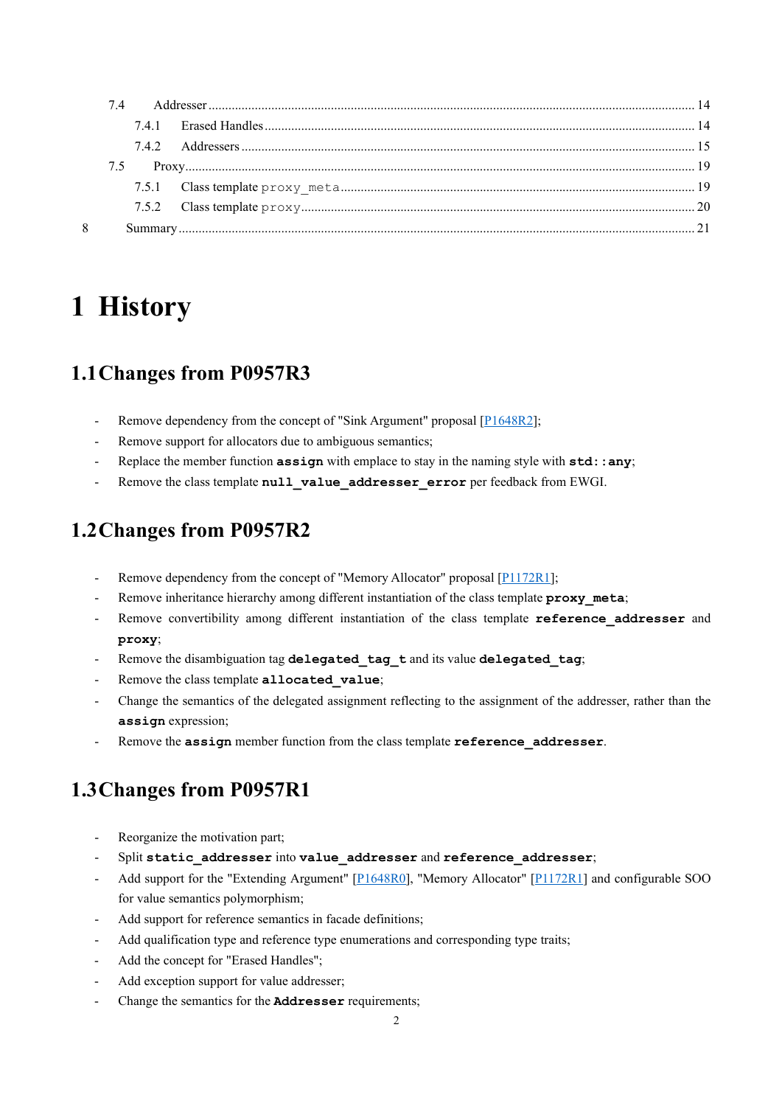| 8 |  |  |  |
|---|--|--|--|
|   |  |  |  |

## <span id="page-1-0"></span>**1 History**

## <span id="page-1-1"></span>**1.1Changes from P0957R3**

- Remove dependency from the concept of "Sink Argument" proposal [\[P1648R2\]](http://www.open-std.org/jtc1/sc22/wg21/docs/papers/2019/p1648r2.pdf);
- Remove support for allocators due to ambiguous semantics;
- Replace the member function **assign** with emplace to stay in the naming style with **std::any**;
- Remove the class template **null** value addresser error per feedback from EWGI.

## <span id="page-1-2"></span>**1.2Changes from P0957R2**

- Remove dependency from the concept of "Memory Allocator" proposal [\[P1172R1\]](http://www.open-std.org/jtc1/sc22/wg21/docs/papers/2019/p1172r1.pdf);
- Remove inheritance hierarchy among different instantiation of the class template **proxy** meta;
- Remove convertibility among different instantiation of the class template **reference** addresser and **proxy**;
- Remove the disambiguation tag delegated tag t and its value delegated tag;
- Remove the class template **allocated** value;
- Change the semantics of the delegated assignment reflecting to the assignment of the addresser, rather than the **assign** expression;
- Remove the **assign** member function from the class template **reference\_addresser**.

## <span id="page-1-3"></span>**1.3Changes from P0957R1**

- Reorganize the motivation part;
- Split static addresser into **value** addresser and reference addresser;
- Add support for the "Extending Argument" [\[P1648R0\]](http://www.open-std.org/jtc1/sc22/wg21/docs/papers/2019/p1648r0.pdf), "Memory Allocator" [\[P1172R1\]](http://www.open-std.org/jtc1/sc22/wg21/docs/papers/2019/p1172r1.pdf) and configurable SOO for value semantics polymorphism;
- Add support for reference semantics in facade definitions;
- Add qualification type and reference type enumerations and corresponding type traits;
- Add the concept for "Erased Handles";
- Add exception support for value addresser;
- Change the semantics for the **Addresser** requirements;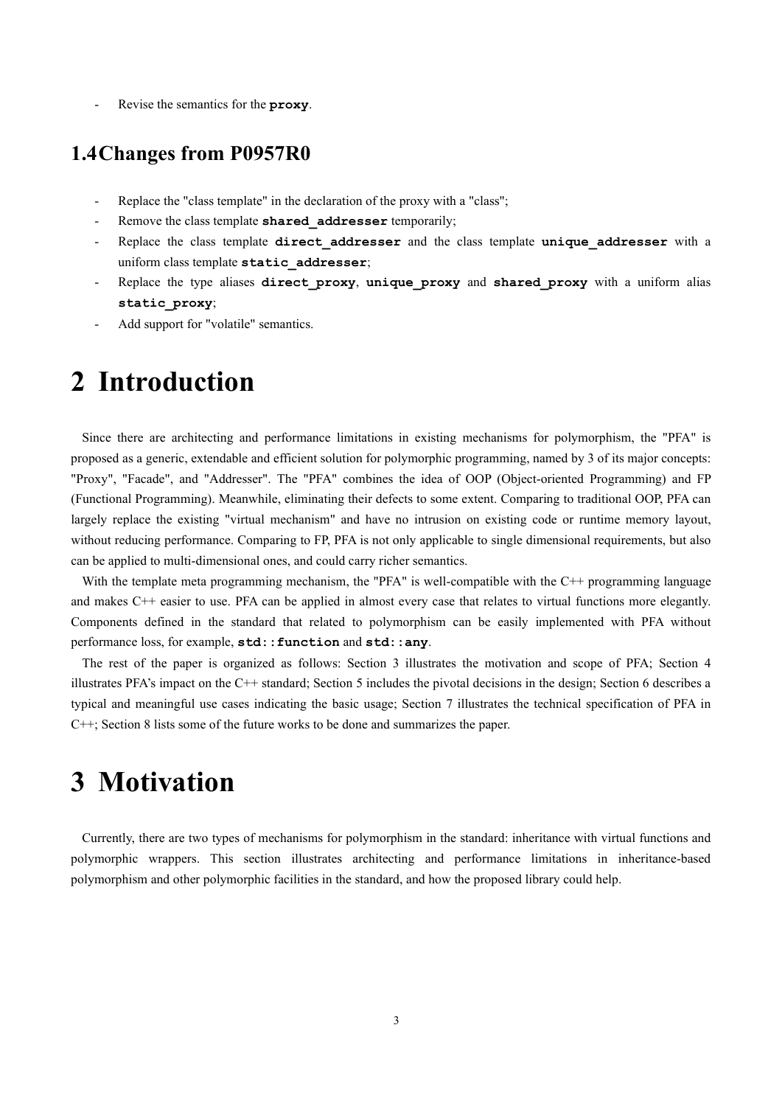<span id="page-2-0"></span>- Revise the semantics for the **proxy**.

## **1.4Changes from P0957R0**

- Replace the "class template" in the declaration of the proxy with a "class";
- Remove the class template **shared** addresser temporarily;
- Replace the class template **direct addresser** and the class template *unique\_addresser* with a uniform class template **static\_addresser**;
- Replace the type aliases **direct\_proxy**, **unique\_proxy** and **shared\_proxy** with a uniform alias **static\_proxy**;
- <span id="page-2-1"></span>Add support for "volatile" semantics.

## **2 Introduction**

Since there are architecting and performance limitations in existing mechanisms for polymorphism, the "PFA" is proposed as a generic, extendable and efficient solution for polymorphic programming, named by 3 of its major concepts: "Proxy", "Facade", and "Addresser". The "PFA" combines the idea of OOP (Object-oriented Programming) and FP (Functional Programming). Meanwhile, eliminating their defects to some extent. Comparing to traditional OOP, PFA can largely replace the existing "virtual mechanism" and have no intrusion on existing code or runtime memory layout, without reducing performance. Comparing to FP, PFA is not only applicable to single dimensional requirements, but also can be applied to multi-dimensional ones, and could carry richer semantics.

With the template meta programming mechanism, the "PFA" is well-compatible with the C++ programming language and makes C++ easier to use. PFA can be applied in almost every case that relates to virtual functions more elegantly. Components defined in the standard that related to polymorphism can be easily implemented with PFA without performance loss, for example, **std::function** and **std::any**.

The rest of the paper is organized as follows: Section 3 illustrates the motivation and scope of PFA; Section 4 illustrates PFA's impact on the C++ standard; Section 5 includes the pivotal decisions in the design; Section 6 describes a typical and meaningful use cases indicating the basic usage; Section 7 illustrates the technical specification of PFA in C++; Section 8 lists some of the future works to be done and summarizes the paper.

## <span id="page-2-2"></span>**3 Motivation**

Currently, there are two types of mechanisms for polymorphism in the standard: inheritance with virtual functions and polymorphic wrappers. This section illustrates architecting and performance limitations in inheritance-based polymorphism and other polymorphic facilities in the standard, and how the proposed library could help.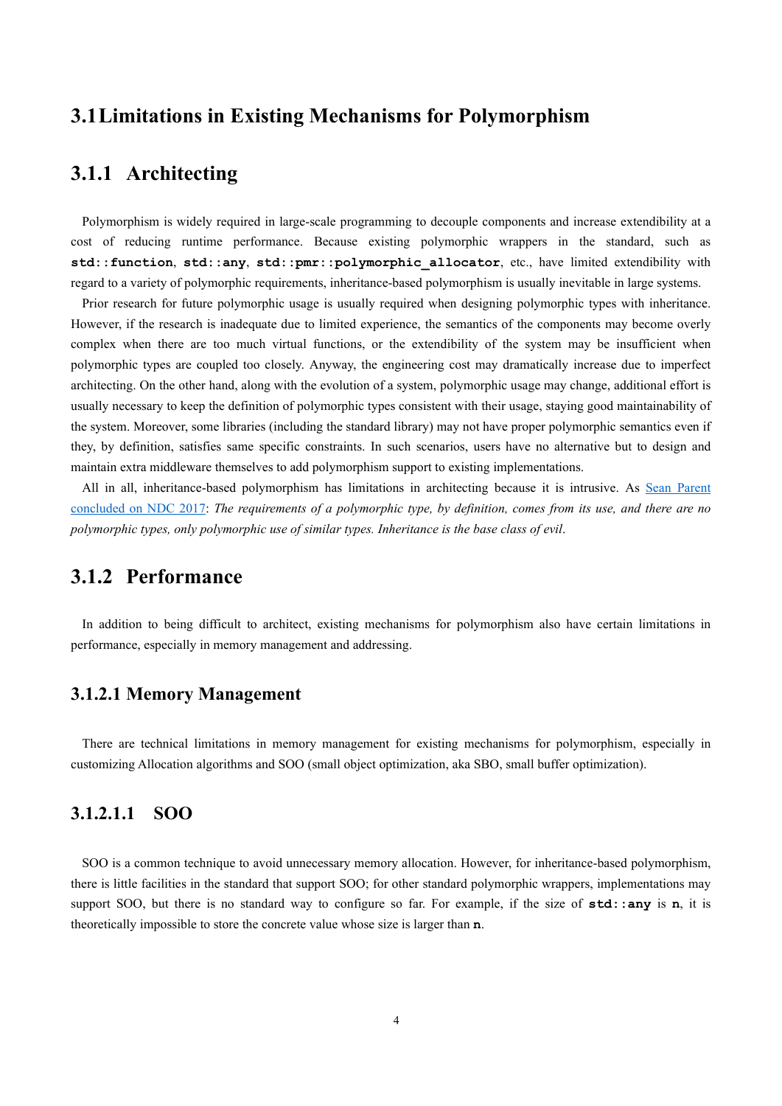## <span id="page-3-0"></span>**3.1Limitations in Existing Mechanisms for Polymorphism**

## <span id="page-3-1"></span>**3.1.1 Architecting**

Polymorphism is widely required in large-scale programming to decouple components and increase extendibility at a cost of reducing runtime performance. Because existing polymorphic wrappers in the standard, such as **std::function**, **std::any**, **std::pmr::polymorphic\_allocator**, etc., have limited extendibility with regard to a variety of polymorphic requirements, inheritance-based polymorphism is usually inevitable in large systems.

Prior research for future polymorphic usage is usually required when designing polymorphic types with inheritance. However, if the research is inadequate due to limited experience, the semantics of the components may become overly complex when there are too much virtual functions, or the extendibility of the system may be insufficient when polymorphic types are coupled too closely. Anyway, the engineering cost may dramatically increase due to imperfect architecting. On the other hand, along with the evolution of a system, polymorphic usage may change, additional effort is usually necessary to keep the definition of polymorphic types consistent with their usage, staying good maintainability of the system. Moreover, some libraries (including the standard library) may not have proper polymorphic semantics even if they, by definition, satisfies same specific constraints. In such scenarios, users have no alternative but to design and maintain extra middleware themselves to add polymorphism support to existing implementations.

All in all, inheritance-based polymorphism has limitations in architecting because it is intrusive. As Sean Parent [concluded on NDC 2017:](https://www.youtube.com/watch?v=QGcVXgEVMJg) *The requirements of a polymorphic type, by definition, comes from its use, and there are no polymorphic types, only polymorphic use of similar types. Inheritance is the base class of evil*.

## <span id="page-3-2"></span>**3.1.2 Performance**

In addition to being difficult to architect, existing mechanisms for polymorphism also have certain limitations in performance, especially in memory management and addressing.

#### **3.1.2.1 Memory Management**

There are technical limitations in memory management for existing mechanisms for polymorphism, especially in customizing Allocation algorithms and SOO (small object optimization, aka SBO, small buffer optimization).

#### **3.1.2.1.1 SOO**

SOO is a common technique to avoid unnecessary memory allocation. However, for inheritance-based polymorphism, there is little facilities in the standard that support SOO; for other standard polymorphic wrappers, implementations may support SOO, but there is no standard way to configure so far. For example, if the size of **std::any** is **n**, it is theoretically impossible to store the concrete value whose size is larger than **n**.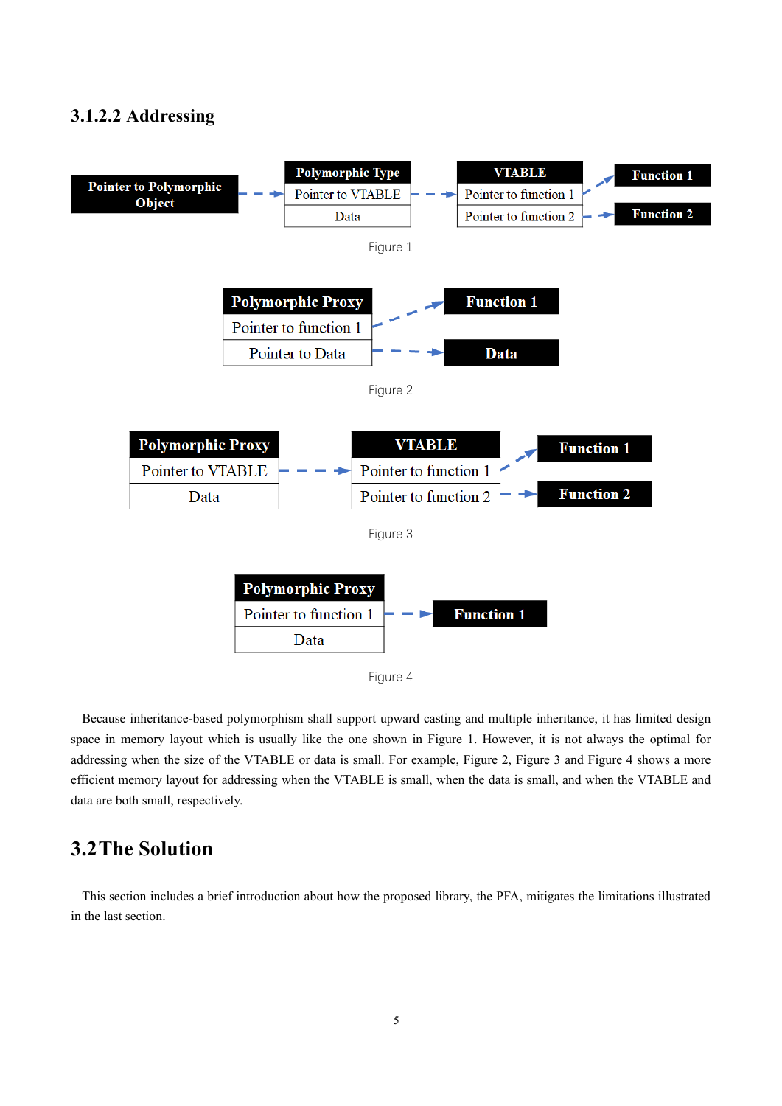### **3.1.2.2 Addressing**

<span id="page-4-2"></span><span id="page-4-1"></span>

<span id="page-4-4"></span><span id="page-4-3"></span>Because inheritance-based polymorphism shall support upward casting and multiple inheritance, it has limited design space in memory layout which is usually like the one shown in [Figure 1.](#page-4-1) However, it is not always the optimal for addressing when the size of the VTABLE or data is small. For example, [Figure 2,](#page-4-2) [Figure 3](#page-4-3) and [Figure 4](#page-4-4) shows a more efficient memory layout for addressing when the VTABLE is small, when the data is small, and when the VTABLE and data are both small, respectively.

## <span id="page-4-0"></span>**3.2The Solution**

This section includes a brief introduction about how the proposed library, the PFA, mitigates the limitations illustrated in the last section.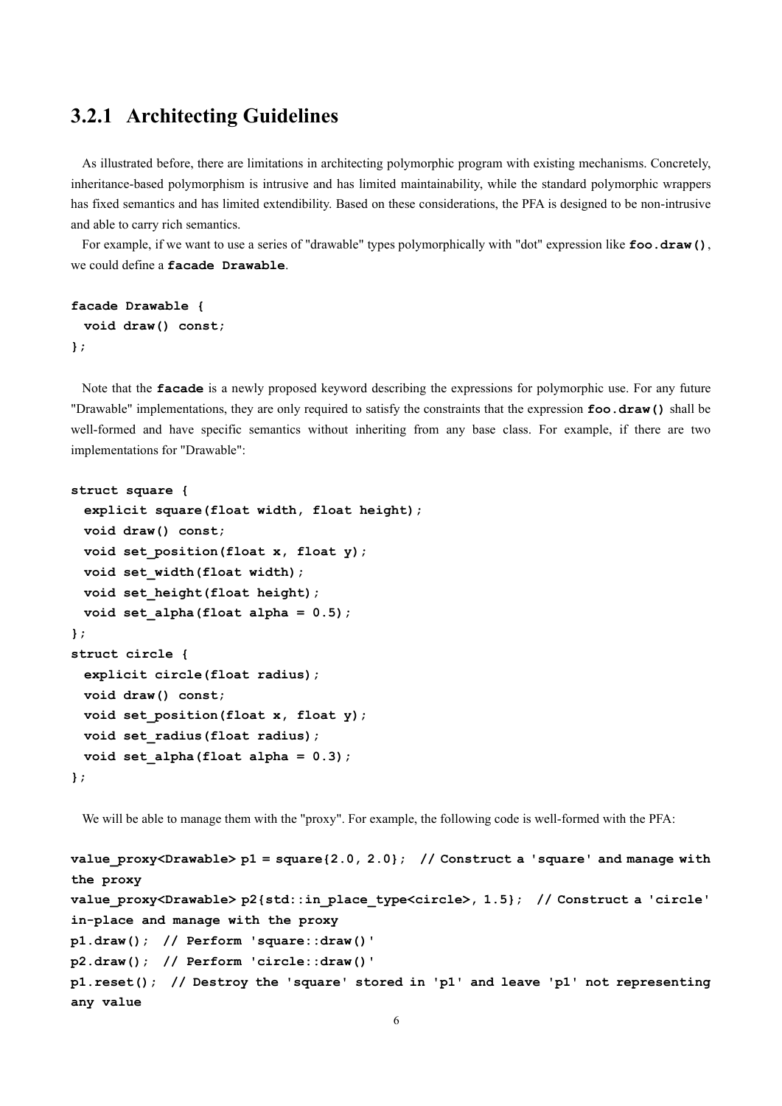## <span id="page-5-0"></span>**3.2.1 Architecting Guidelines**

As illustrated before, there are limitations in architecting polymorphic program with existing mechanisms. Concretely, inheritance-based polymorphism is intrusive and has limited maintainability, while the standard polymorphic wrappers has fixed semantics and has limited extendibility. Based on these considerations, the PFA is designed to be non-intrusive and able to carry rich semantics.

For example, if we want to use a series of "drawable" types polymorphically with "dot" expression like **foo.draw()**, we could define a **facade Drawable**.

```
facade Drawable {
  void draw() const;
};
```
Note that the **facade** is a newly proposed keyword describing the expressions for polymorphic use. For any future "Drawable" implementations, they are only required to satisfy the constraints that the expression **foo.draw()** shall be well-formed and have specific semantics without inheriting from any base class. For example, if there are two implementations for "Drawable":

```
struct square {
  explicit square(float width, float height);
  void draw() const;
  void set_position(float x, float y);
  void set_width(float width);
  void set_height(float height);
  void set_alpha(float alpha = 0.5);
};
struct circle {
  explicit circle(float radius);
  void draw() const;
  void set_position(float x, float y);
  void set_radius(float radius);
 void set alpha(float alpha = 0.3);
};
```
We will be able to manage them with the "proxy". For example, the following code is well-formed with the PFA:

```
value_proxy<Drawable> p1 = square{2.0, 2.0}; // Construct a 'square' and manage with 
the proxy
value_proxy<Drawable> p2{std::in_place_type<circle>, 1.5}; // Construct a 'circle'
in-place and manage with the proxy
p1.draw(); // Perform 'square::draw()'
p2.draw(); // Perform 'circle::draw()'
p1.reset(); // Destroy the 'square' stored in 'p1' and leave 'p1' not representing
any value
```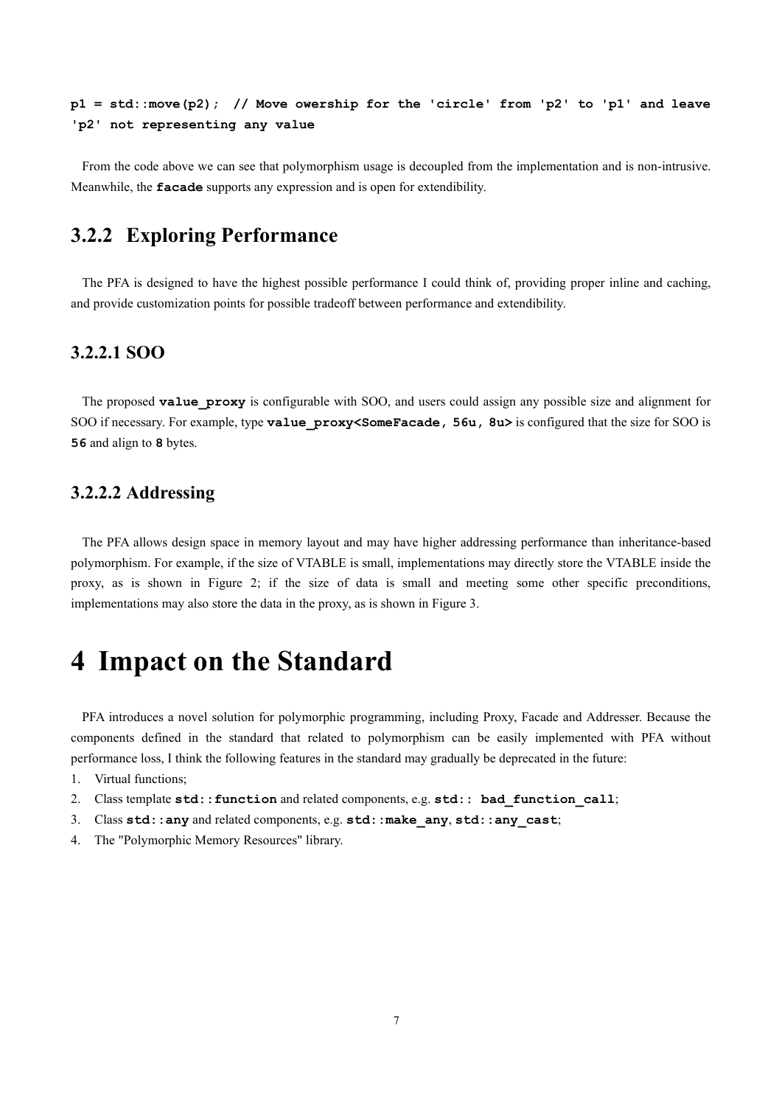**p1 = std::move(p2); // Move owership for the 'circle' from 'p2' to 'p1' and leave 'p2' not representing any value**

From the code above we can see that polymorphism usage is decoupled from the implementation and is non-intrusive. Meanwhile, the **facade** supports any expression and is open for extendibility.

## <span id="page-6-0"></span>**3.2.2 Exploring Performance**

The PFA is designed to have the highest possible performance I could think of, providing proper inline and caching, and provide customization points for possible tradeoff between performance and extendibility.

### **3.2.2.1 SOO**

The proposed **value** proxy is configurable with SOO, and users could assign any possible size and alignment for SOO if necessary. For example, type **value\_proxy<SomeFacade, 56u, 8u>** is configured that the size for SOO is **56** and align to **8** bytes.

#### **3.2.2.2 Addressing**

The PFA allows design space in memory layout and may have higher addressing performance than inheritance-based polymorphism. For example, if the size of VTABLE is small, implementations may directly store the VTABLE inside the proxy, as is shown in [Figure 2;](#page-4-2) if the size of data is small and meeting some other specific preconditions, implementations may also store the data in the proxy, as is shown in [Figure 3.](#page-4-3)

## <span id="page-6-1"></span>**4 Impact on the Standard**

PFA introduces a novel solution for polymorphic programming, including Proxy, Facade and Addresser. Because the components defined in the standard that related to polymorphism can be easily implemented with PFA without performance loss, I think the following features in the standard may gradually be deprecated in the future:

- 1. Virtual functions;
- 2. Class template **std::function** and related components, e.g. **std:: bad\_function\_call**;
- 3. Class **std::any** and related components, e.g. **std::make\_any**, **std::any\_cast**;
- 4. The "Polymorphic Memory Resources" library.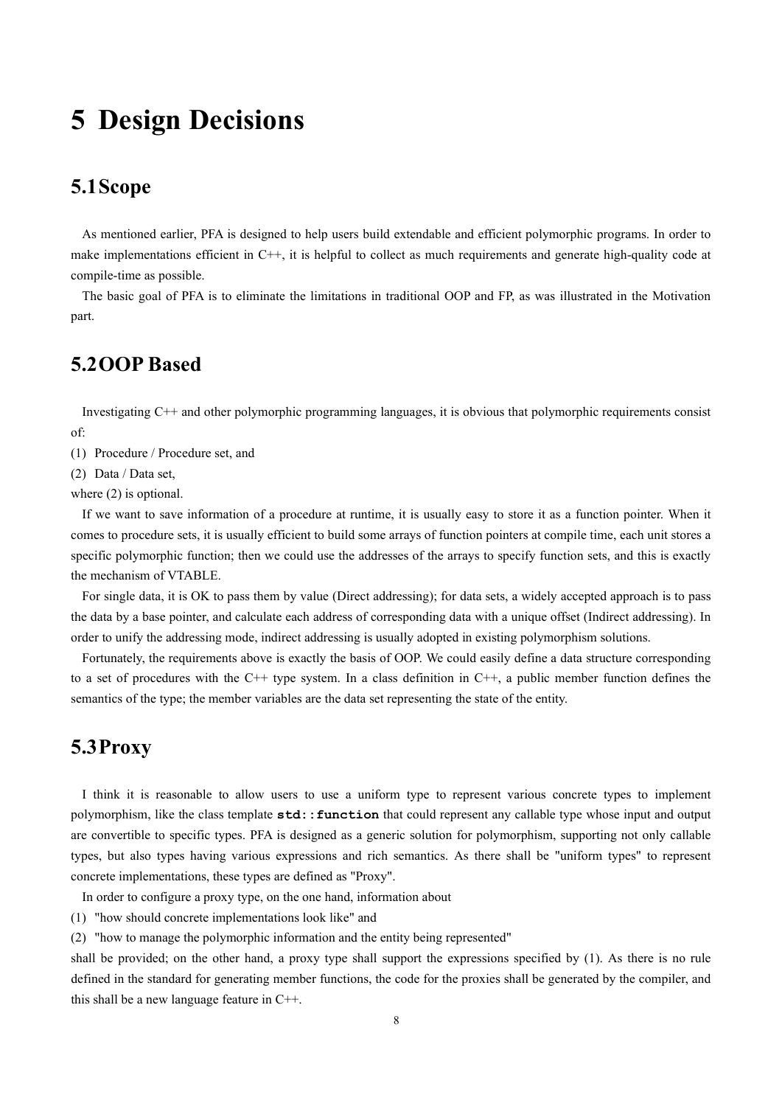## <span id="page-7-0"></span>**5 Design Decisions**

## <span id="page-7-1"></span>**5.1Scope**

As mentioned earlier, PFA is designed to help users build extendable and efficient polymorphic programs. In order to make implementations efficient in C++, it is helpful to collect as much requirements and generate high-quality code at compile-time as possible.

The basic goal of PFA is to eliminate the limitations in traditional OOP and FP, as was illustrated in the Motivation part.

## <span id="page-7-2"></span>**5.2OOP Based**

Investigating C++ and other polymorphic programming languages, it is obvious that polymorphic requirements consist of:

(1) Procedure / Procedure set, and

(2) Data / Data set,

where  $(2)$  is optional.

If we want to save information of a procedure at runtime, it is usually easy to store it as a function pointer. When it comes to procedure sets, it is usually efficient to build some arrays of function pointers at compile time, each unit stores a specific polymorphic function; then we could use the addresses of the arrays to specify function sets, and this is exactly the mechanism of VTABLE.

For single data, it is OK to pass them by value (Direct addressing); for data sets, a widely accepted approach is to pass the data by a base pointer, and calculate each address of corresponding data with a unique offset (Indirect addressing). In order to unify the addressing mode, indirect addressing is usually adopted in existing polymorphism solutions.

Fortunately, the requirements above is exactly the basis of OOP. We could easily define a data structure corresponding to a set of procedures with the C++ type system. In a class definition in C++, a public member function defines the semantics of the type; the member variables are the data set representing the state of the entity.

## <span id="page-7-3"></span>**5.3Proxy**

I think it is reasonable to allow users to use a uniform type to represent various concrete types to implement polymorphism, like the class template **std::function** that could represent any callable type whose input and output are convertible to specific types. PFA is designed as a generic solution for polymorphism, supporting not only callable types, but also types having various expressions and rich semantics. As there shall be "uniform types" to represent concrete implementations, these types are defined as "Proxy".

In order to configure a proxy type, on the one hand, information about

(1) "how should concrete implementations look like" and

(2) "how to manage the polymorphic information and the entity being represented"

shall be provided; on the other hand, a proxy type shall support the expressions specified by (1). As there is no rule defined in the standard for generating member functions, the code for the proxies shall be generated by the compiler, and this shall be a new language feature in C++.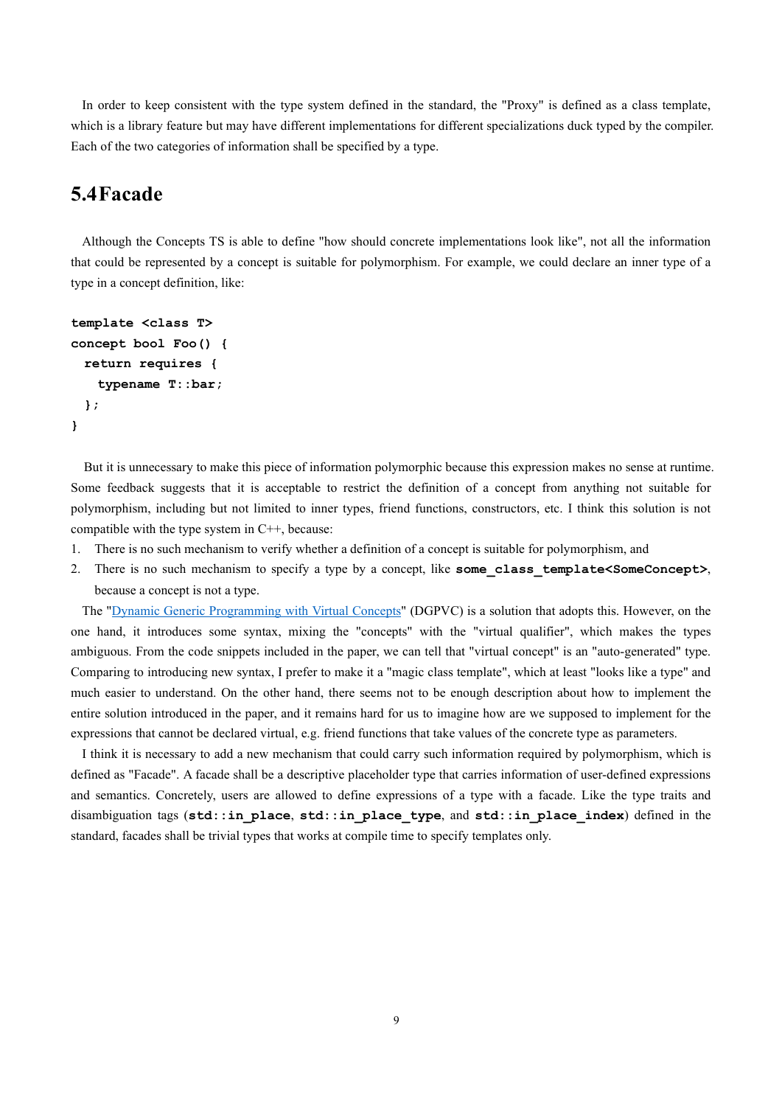In order to keep consistent with the type system defined in the standard, the "Proxy" is defined as a class template, which is a library feature but may have different implementations for different specializations duck typed by the compiler. Each of the two categories of information shall be specified by a type.

## <span id="page-8-0"></span>**5.4Facade**

Although the Concepts TS is able to define "how should concrete implementations look like", not all the information that could be represented by a concept is suitable for polymorphism. For example, we could declare an inner type of a type in a concept definition, like:

```
template <class T>
concept bool Foo() {
  return requires {
    typename T::bar;
  };
}
```
But it is unnecessary to make this piece of information polymorphic because this expression makes no sense at runtime. Some feedback suggests that it is acceptable to restrict the definition of a concept from anything not suitable for polymorphism, including but not limited to inner types, friend functions, constructors, etc. I think this solution is not compatible with the type system in C++, because:

- 1. There is no such mechanism to verify whether a definition of a concept is suitable for polymorphism, and
- 2. There is no such mechanism to specify a type by a concept, like **some class template<SomeConcept>**, because a concept is not a type.

The ["Dynamic Generic Programming with Virtual Concepts"](https://github.com/andyprowl/virtual-concepts/blob/master/draft/Dynamic%20Generic%20Programming%20with%20Virtual%20Concepts.pdf) (DGPVC) is a solution that adopts this. However, on the one hand, it introduces some syntax, mixing the "concepts" with the "virtual qualifier", which makes the types ambiguous. From the code snippets included in the paper, we can tell that "virtual concept" is an "auto-generated" type. Comparing to introducing new syntax, I prefer to make it a "magic class template", which at least "looks like a type" and much easier to understand. On the other hand, there seems not to be enough description about how to implement the entire solution introduced in the paper, and it remains hard for us to imagine how are we supposed to implement for the expressions that cannot be declared virtual, e.g. friend functions that take values of the concrete type as parameters.

I think it is necessary to add a new mechanism that could carry such information required by polymorphism, which is defined as "Facade". A facade shall be a descriptive placeholder type that carries information of user-defined expressions and semantics. Concretely, users are allowed to define expressions of a type with a facade. Like the type traits and disambiguation tags (**std::in\_place**, **std::in\_place\_type**, and **std::in\_place\_index**) defined in the standard, facades shall be trivial types that works at compile time to specify templates only.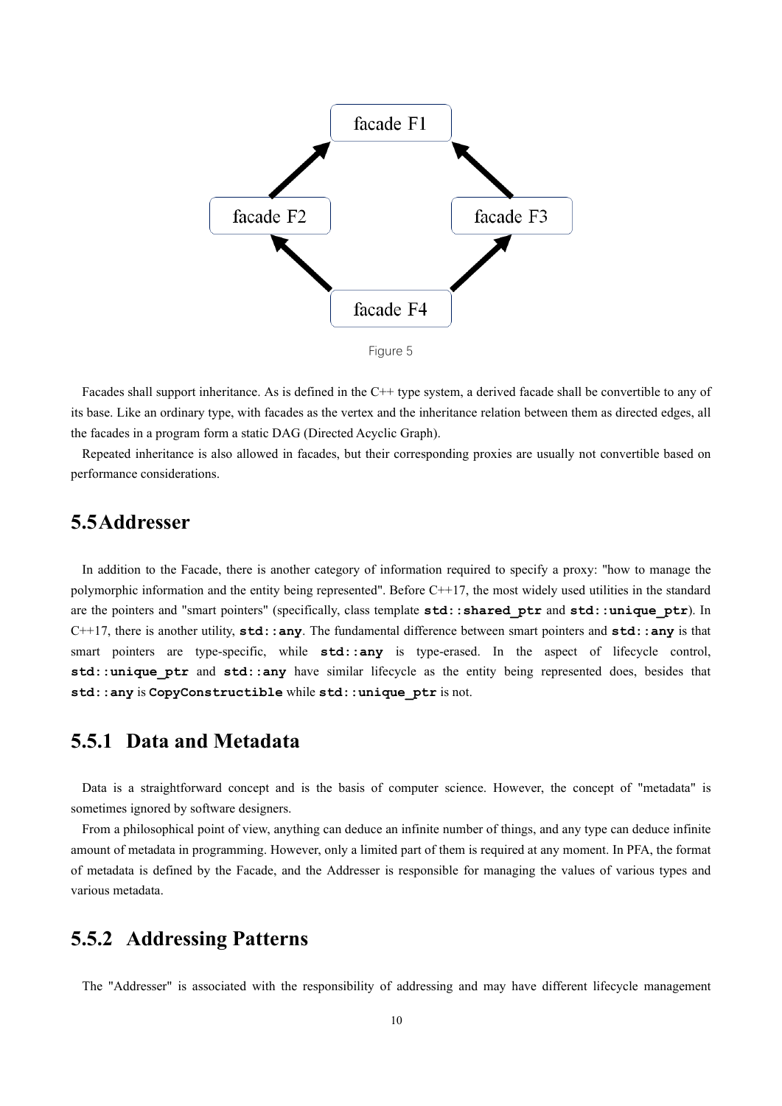

Facades shall support inheritance. As is defined in the C++ type system, a derived facade shall be convertible to any of its base. Like an ordinary type, with facades as the vertex and the inheritance relation between them as directed edges, all the facades in a program form a static DAG (Directed Acyclic Graph).

Repeated inheritance is also allowed in facades, but their corresponding proxies are usually not convertible based on performance considerations.

## <span id="page-9-0"></span>**5.5Addresser**

In addition to the Facade, there is another category of information required to specify a proxy: "how to manage the polymorphic information and the entity being represented". Before C++17, the most widely used utilities in the standard are the pointers and "smart pointers" (specifically, class template **std::shared\_ptr** and **std::unique\_ptr**). In C++17, there is another utility, **std::any**. The fundamental difference between smart pointers and **std::any** is that smart pointers are type-specific, while **std::any** is type-erased. In the aspect of lifecycle control, **std::unique ptr** and **std::any** have similar lifecycle as the entity being represented does, besides that **std::any** is **CopyConstructible** while **std::unique\_ptr** is not.

## <span id="page-9-1"></span>**5.5.1 Data and Metadata**

Data is a straightforward concept and is the basis of computer science. However, the concept of "metadata" is sometimes ignored by software designers.

From a philosophical point of view, anything can deduce an infinite number of things, and any type can deduce infinite amount of metadata in programming. However, only a limited part of them is required at any moment. In PFA, the format of metadata is defined by the Facade, and the Addresser is responsible for managing the values of various types and various metadata.

## <span id="page-9-2"></span>**5.5.2 Addressing Patterns**

The "Addresser" is associated with the responsibility of addressing and may have different lifecycle management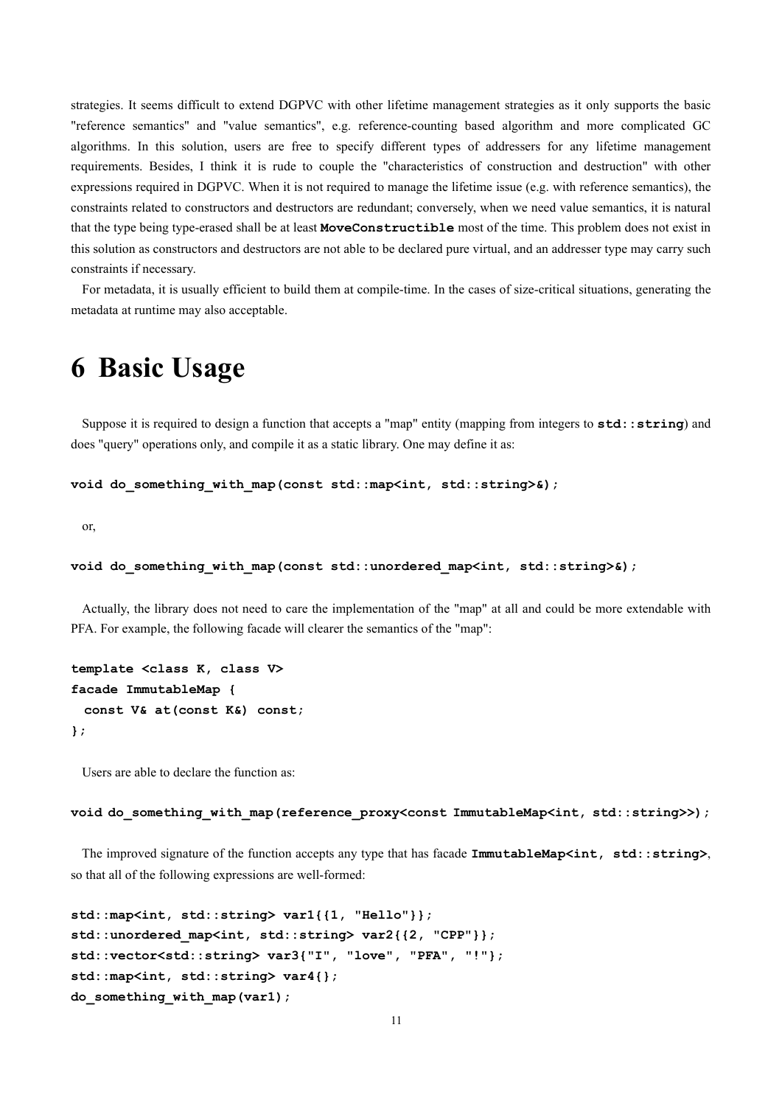strategies. It seems difficult to extend DGPVC with other lifetime management strategies as it only supports the basic "reference semantics" and "value semantics", e.g. reference-counting based algorithm and more complicated GC algorithms. In this solution, users are free to specify different types of addressers for any lifetime management requirements. Besides, I think it is rude to couple the "characteristics of construction and destruction" with other expressions required in DGPVC. When it is not required to manage the lifetime issue (e.g. with reference semantics), the constraints related to constructors and destructors are redundant; conversely, when we need value semantics, it is natural that the type being type-erased shall be at least **MoveConstructible** most of the time. This problem does not exist in this solution as constructors and destructors are not able to be declared pure virtual, and an addresser type may carry such constraints if necessary.

<span id="page-10-0"></span>For metadata, it is usually efficient to build them at compile-time. In the cases of size-critical situations, generating the metadata at runtime may also acceptable.

## **6 Basic Usage**

Suppose it is required to design a function that accepts a "map" entity (mapping from integers to **std::string**) and does "query" operations only, and compile it as a static library. One may define it as:

```
void do something with map(const std::map<int, std::string>&);
```
or,

```
void do_something_with_map(const std::unordered_map<int, std::string>&);
```
Actually, the library does not need to care the implementation of the "map" at all and could be more extendable with PFA. For example, the following facade will clearer the semantics of the "map":

```
template <class K, class V>
facade ImmutableMap {
  const V& at(const K&) const;
};
```
Users are able to declare the function as:

```
void do something with map(reference proxy<const ImmutableMap<int, std::string>>);
```
The improved signature of the function accepts any type that has facade **ImmutableMap<int, std::string>**, so that all of the following expressions are well-formed:

```
std::map<int, std::string> var1{{1, "Hello"}};
std::unordered_map<int, std::string> var2{{2, "CPP"}};
std::vector<std::string> var3{"I", "love", "PFA", "!"};
std::map<int, std::string> var4{};
do_something_with_map(var1);
```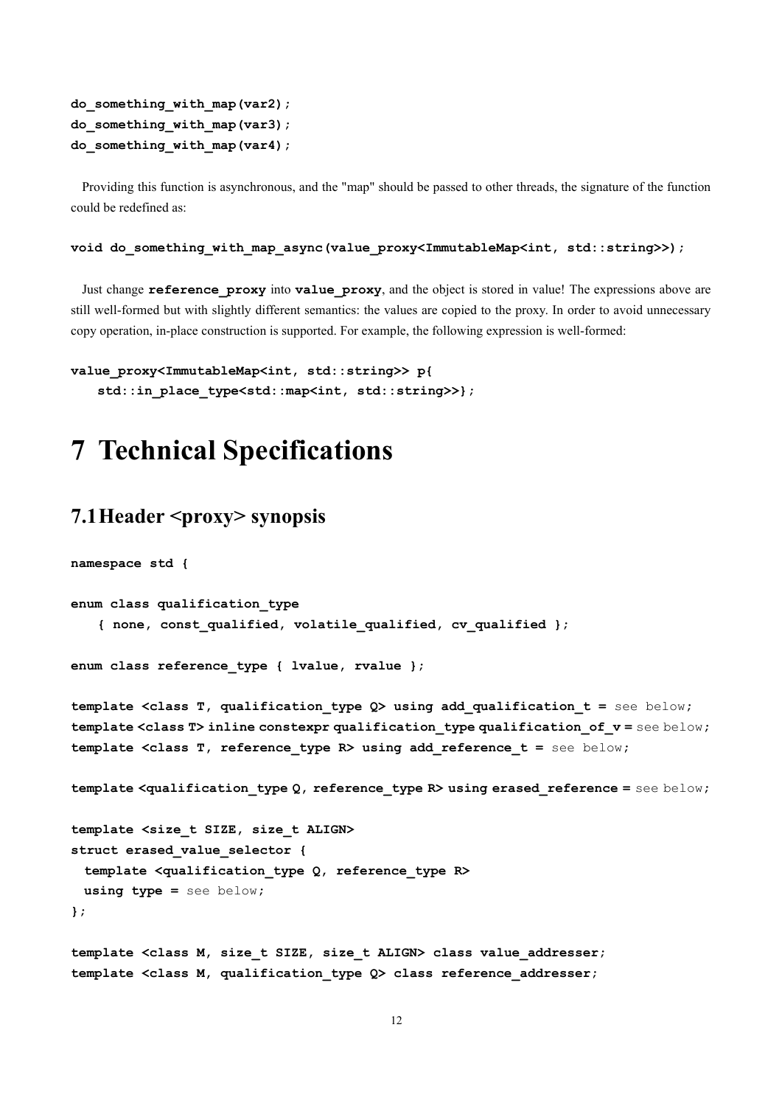```
do_something_with_map(var2);
do_something_with_map(var3);
do_something_with_map(var4);
```
Providing this function is asynchronous, and the "map" should be passed to other threads, the signature of the function could be redefined as:

**void do\_something\_with\_map\_async(value\_proxy<ImmutableMap<int, std::string>>);**

Just change **reference\_proxy** into **value\_proxy**, and the object is stored in value! The expressions above are still well-formed but with slightly different semantics: the values are copied to the proxy. In order to avoid unnecessary copy operation, in-place construction is supported. For example, the following expression is well-formed:

```
value_proxy<ImmutableMap<int, std::string>> p{
   std::in place type<std::map<int, std::string>>};
```
## <span id="page-11-0"></span>**7 Technical Specifications**

## <span id="page-11-1"></span>**7.1 Header** *<proxy>* **synopsis**

**namespace std {**

```
enum class qualification_type
    { none, const_qualified, volatile_qualified, cv_qualified };
```
**enum class reference\_type { lvalue, rvalue };**

**template <class T, qualification\_type Q> using add\_qualification\_t =** see below**; template <class T> inline constexpr qualification\_type qualification\_of\_v =** see below**; template <class T, reference\_type R> using add\_reference\_t =** see below**;**

**template <qualification\_type Q, reference\_type R> using erased\_reference =** see below**;**

```
template <size_t SIZE, size_t ALIGN>
struct erased_value_selector {
  template <qualification_type Q, reference_type R>
  using type = see below;
};
```
**template <class M, size\_t SIZE, size\_t ALIGN> class value\_addresser; template <class M, qualification\_type Q> class reference\_addresser;**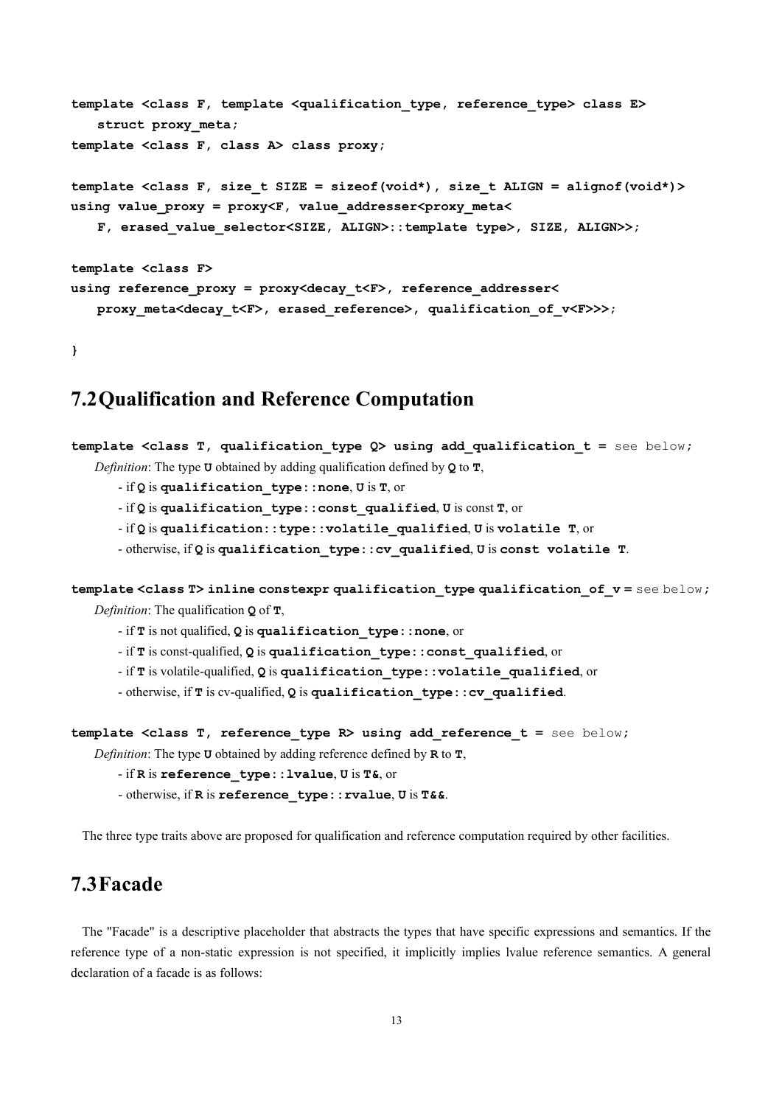```
template <class F, template <qualification_type, reference_type> class E>
   struct proxy_meta;
template <class F, class A> class proxy;
template <class F, size_t SIZE = sizeof(void*), size_t ALIGN = alignof(void*)>
using value_proxy = proxy<F, value_addresser<proxy_meta<
    F, erased_value_selector<SIZE, ALIGN>::template type>, SIZE, ALIGN>>;
template <class F>
using reference_proxy = proxy<decay_t<F>, reference_addresser<
    proxy_meta<decay_t<F>, erased_reference>, qualification_of_v<F>>>;
```
<span id="page-12-0"></span>**}**

## **7.2Qualification and Reference Computation**

```
template <class T, qualification_type Q> using add_qualification_t = see below;
   Definition: The type U obtained by adding qualification defined by Q to T,
```
- if **Q** is **qualification\_type::none**, **U** is **T**, or

- if **Q** is **qualification\_type::const\_qualified**, **U** is const **T**, or

- if **Q** is **qualification::type::volatile\_qualified**, **U** is **volatile T**, or

- otherwise, if **Q** is **qualification\_type::cv\_qualified**, **U** is **const volatile T**.

**template <class T> inline constexpr qualification\_type qualification\_of\_v =** see below**;** *Definition*: The qualification **Q** of **T**,

- if **T** is not qualified, **Q** is **qualification\_type::none**, or

- if **T** is const-qualified, **Q** is **qualification\_type::const\_qualified**, or

- if **T** is volatile-qualified, **Q** is **qualification\_type::volatile\_qualified**, or

- otherwise, if **T** is cv-qualified, **Q** is **qualification\_type::cv\_qualified**.

**template <class T, reference\_type R> using add\_reference\_t =** see below**;**

*Definition*: The type **U** obtained by adding reference defined by **R** to **T**,

```
- if R is reference_type::lvalue, U is T&, or
```
- otherwise, if **R** is **reference\_type::rvalue**, **U** is **T&&**.

<span id="page-12-1"></span>The three type traits above are proposed for qualification and reference computation required by other facilities.

## **7.3Facade**

The "Facade" is a descriptive placeholder that abstracts the types that have specific expressions and semantics. If the reference type of a non-static expression is not specified, it implicitly implies lvalue reference semantics. A general declaration of a facade is as follows: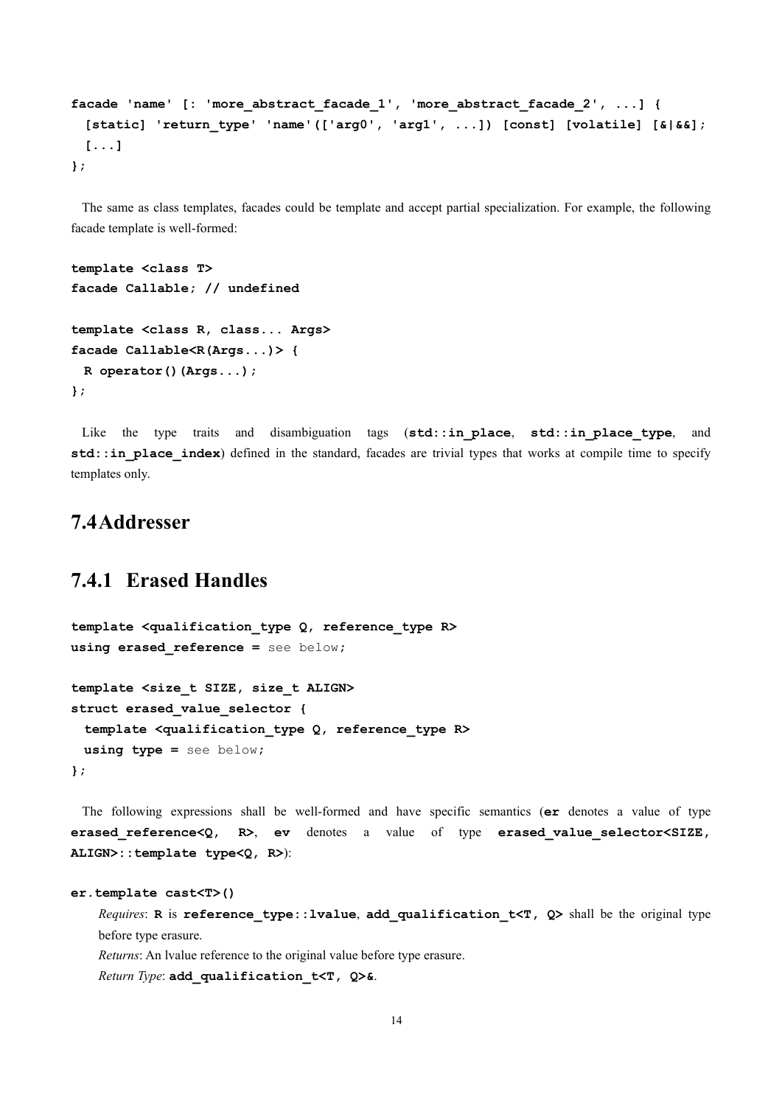```
facade 'name' [: 'more_abstract_facade_1', 'more_abstract_facade_2', ...] {
   [static] 'return_type' 'name'(['arg0', 'arg1', ...]) [const] [volatile] [&|&&];
  [...]
};
```
The same as class templates, facades could be template and accept partial specialization. For example, the following facade template is well-formed:

```
template <class T>
facade Callable; // undefined
template <class R, class... Args>
facade Callable<R(Args...)> {
  R operator()(Args...);
};
```
Like the type traits and disambiguation tags (**std::in\_place**, **std::in\_place\_type**, and **std::in place index**) defined in the standard, facades are trivial types that works at compile time to specify templates only.

## <span id="page-13-0"></span>**7.4Addresser**

## <span id="page-13-1"></span>**7.4.1 Erased Handles**

```
template <qualification_type Q, reference_type R>
using erased_reference = see below;
template <size_t SIZE, size_t ALIGN>
struct erased_value_selector {
  template <qualification_type Q, reference_type R>
  using type = see below;
};
```
The following expressions shall be well-formed and have specific semantics (**er** denotes a value of type **erased\_reference<Q, R>**, **ev** denotes a value of type **erased\_value\_selector<SIZE, ALIGN>::template type<Q, R>**):

```
er.template cast<T>()
```
*Requires*: **R** is **reference\_type::lvalue**, **add\_qualification\_t<T, Q>** shall be the original type before type erasure.

*Returns*: An lvalue reference to the original value before type erasure. *Return Type*: **add\_qualification\_t<T, Q>&**.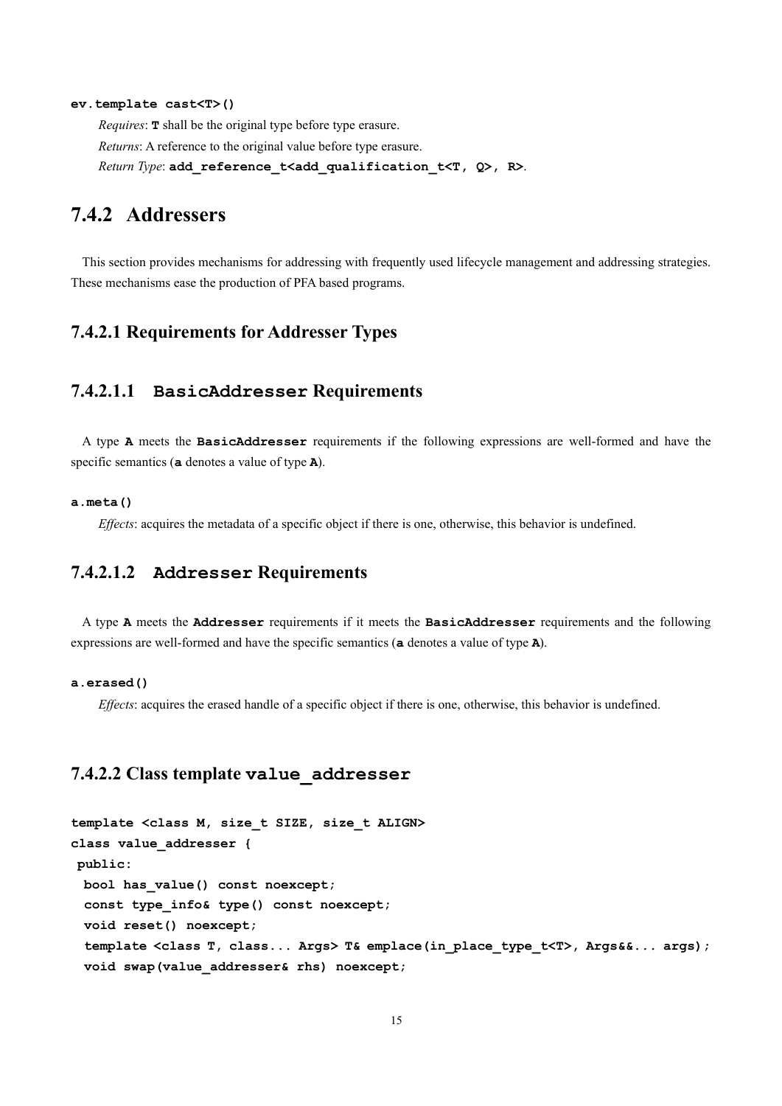#### **ev.template cast<T>()**

*Requires*: **T** shall be the original type before type erasure. *Returns*: A reference to the original value before type erasure. *Return Type*: **add\_reference\_t<add\_qualification\_t<T, Q>, R>**.

## <span id="page-14-0"></span>**7.4.2 Addressers**

This section provides mechanisms for addressing with frequently used lifecycle management and addressing strategies. These mechanisms ease the production of PFA based programs.

#### **7.4.2.1 Requirements for Addresser Types**

#### **7.4.2.1.1 BasicAddresser Requirements**

A type **A** meets the **BasicAddresser** requirements if the following expressions are well-formed and have the specific semantics (**a** denotes a value of type **A**).

#### **a.meta()**

*Effects*: acquires the metadata of a specific object if there is one, otherwise, this behavior is undefined.

### **7.4.2.1.2 Addresser Requirements**

A type **A** meets the **Addresser** requirements if it meets the **BasicAddresser** requirements and the following expressions are well-formed and have the specific semantics (**a** denotes a value of type **A**).

#### **a.erased()**

*Effects*: acquires the erased handle of a specific object if there is one, otherwise, this behavior is undefined.

#### **7.4.2.2 Class template value\_addresser**

```
template <class M, size_t SIZE, size_t ALIGN>
class value_addresser {
public:
  bool has_value() const noexcept;
  const type_info& type() const noexcept;
  void reset() noexcept;
  template <class T, class... Args> T& emplace(in_place_type_t<T>, Args&&... args);
  void swap(value_addresser& rhs) noexcept;
```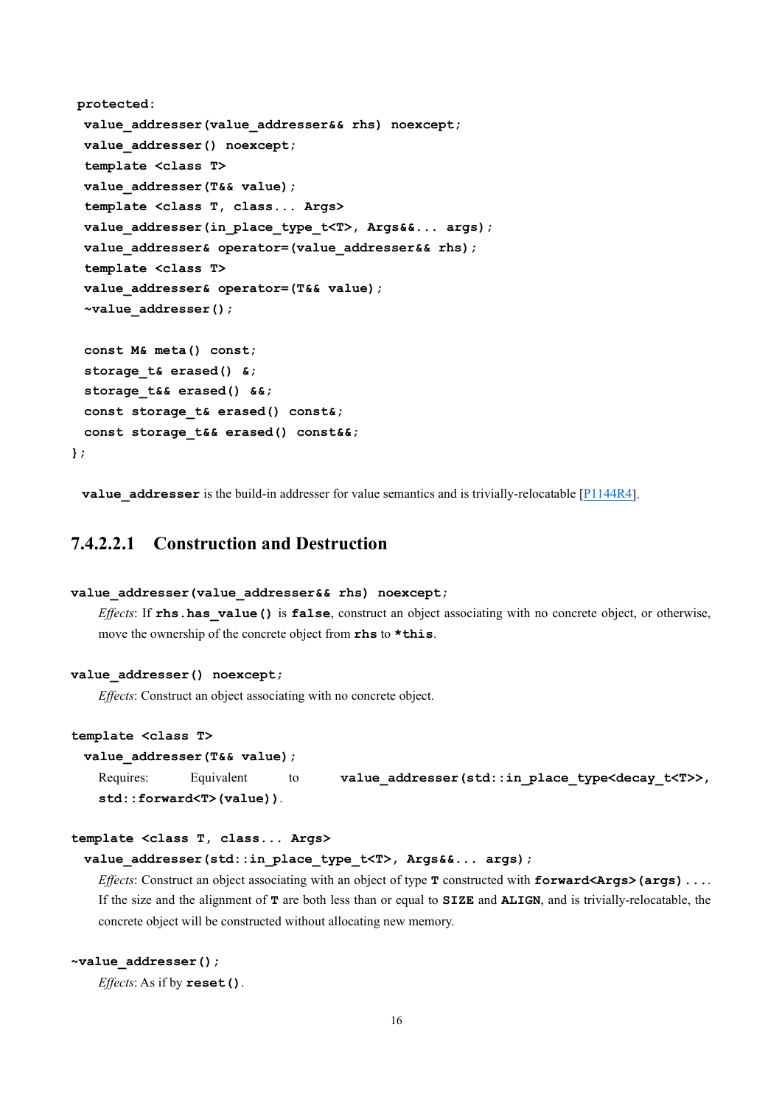```
protected:
  value_addresser(value_addresser&& rhs) noexcept;
  value_addresser() noexcept;
  template <class T>
  value_addresser(T&& value);
 template <class T, class... Args>
  value_addresser(in_place_type_t<T>, Args&&... args);
  value_addresser& operator=(value_addresser&& rhs);
  template <class T>
  value_addresser& operator=(T&& value);
  ~value_addresser();
  const M& meta() const;
  storage_t& erased() &;
  storage_t&& erased() &&;
  const storage_t& erased() const&;
  const storage_t&& erased() const&&;
};
```
**value** addresser is the build-in addresser for value semantics and is trivially-relocatable [\[P1144R4\]](http://www.open-std.org/jtc1/sc22/wg21/docs/papers/2019/p1144r4.html).

## **7.4.2.2.1 Construction and Destruction**

```
value_addresser(value_addresser&& rhs) noexcept;
```
*Effects*: If **rhs.has\_value()** is **false**, construct an object associating with no concrete object, or otherwise, move the ownership of the concrete object from **rhs** to **\*this**.

#### **value\_addresser() noexcept;**

*Effects*: Construct an object associating with no concrete object.

#### **template <class T>**

| value addresser (T&& value) ; |            |    |                                                                 |  |  |  |  |  |
|-------------------------------|------------|----|-----------------------------------------------------------------|--|--|--|--|--|
| Requires:                     | Equivalent | to | value_addresser(std::in_place_type <decay_t<t>&gt;,</decay_t<t> |  |  |  |  |  |
| $std::forward (value)$ ).     |            |    |                                                                 |  |  |  |  |  |

#### **template <class T, class... Args>**

#### **value\_addresser(std::in\_place\_type\_t<T>, Args&&... args);**

*Effects*: Construct an object associating with an object of type **T** constructed with **forward<Args>(args)...**. If the size and the alignment of **T** are both less than or equal to **SIZE** and **ALIGN**, and is trivially-relocatable, the concrete object will be constructed without allocating new memory.

#### **~value\_addresser();**

*Effects*: As if by **reset()**.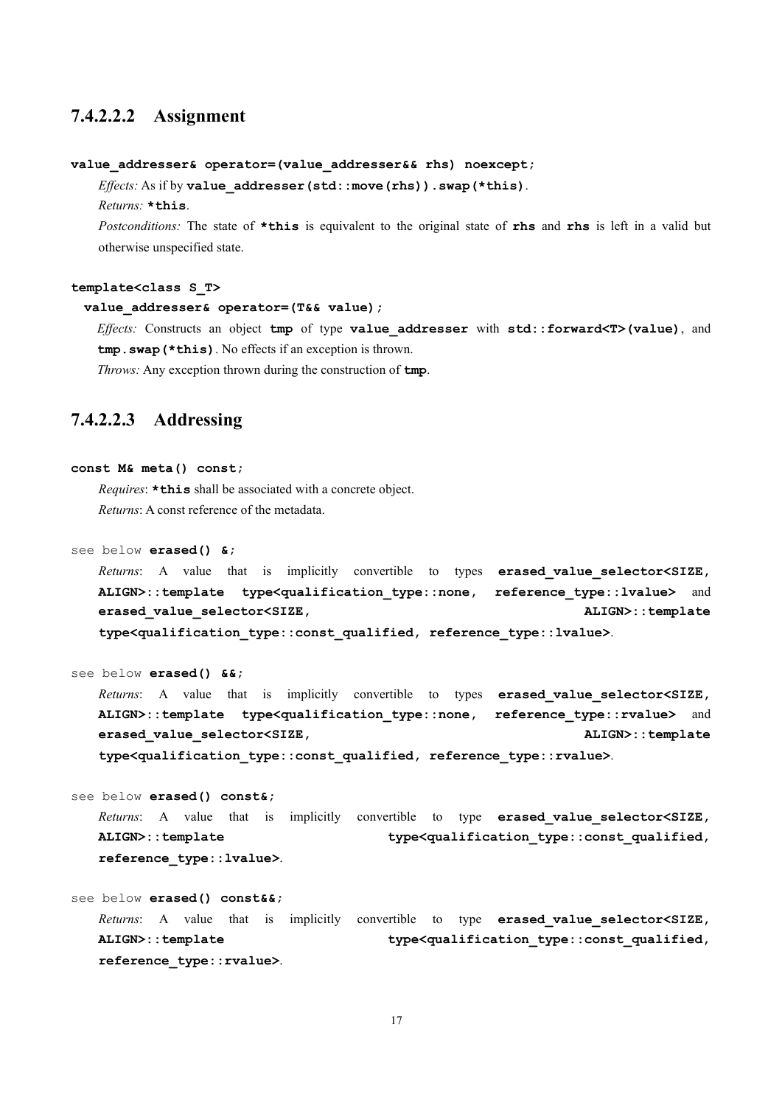#### **7.4.2.2.2 Assignment**

#### **value\_addresser& operator=(value\_addresser&& rhs) noexcept;**

*Effects:* As if by **value\_addresser(std::move(rhs)).swap(\*this)**.

*Returns:* **\*this**.

*Postconditions:* The state of **\*this** is equivalent to the original state of **rhs** and **rhs** is left in a valid but otherwise unspecified state.

#### **template<class S\_T>**

```
 value_addresser& operator=(T&& value);
```
*Effects:* Constructs an object **tmp** of type **value\_addresser** with **std::forward<T>(value)**, and **tmp.swap(\*this)**. No effects if an exception is thrown.

*Throws:* Any exception thrown during the construction of **tmp**.

## **7.4.2.2.3 Addressing**

#### **const M& meta() const;**

*Requires*: **\*this** shall be associated with a concrete object. *Returns*: A const reference of the metadata.

see below **erased() &;**

*Returns*: A value that is implicitly convertible to types **erased value selector<SIZE**, **ALIGN>::template type<qualification\_type::none, reference\_type::lvalue>** and **erased** value selector<SIZE,  $ALIGN$  all  $OLOR$ : template **type<qualification\_type::const\_qualified, reference\_type::lvalue>**.

```
see below erased() &&;
```
*Returns*: A value that is implicitly convertible to types **erased\_value\_selector<SIZE, ALIGN>::template type<qualification\_type::none, reference\_type::rvalue>** and **erased** value selector<SIZE,  $ALIGN$ : template **type<qualification\_type::const\_qualified, reference\_type::rvalue>**.

see below **erased() const&;**

*Returns*: A value that is implicitly convertible to type **erased\_value\_selector<SIZE, ALIGN>::template type<qualification\_type::const\_qualified, reference\_type::lvalue>**.

```
see below erased() const&&;
   Returns: A value that is implicitly convertible to type erased value selector<SIZE,
   ALIGN>::template type<qualification_type::const_qualified, 
   reference_type::rvalue>.
```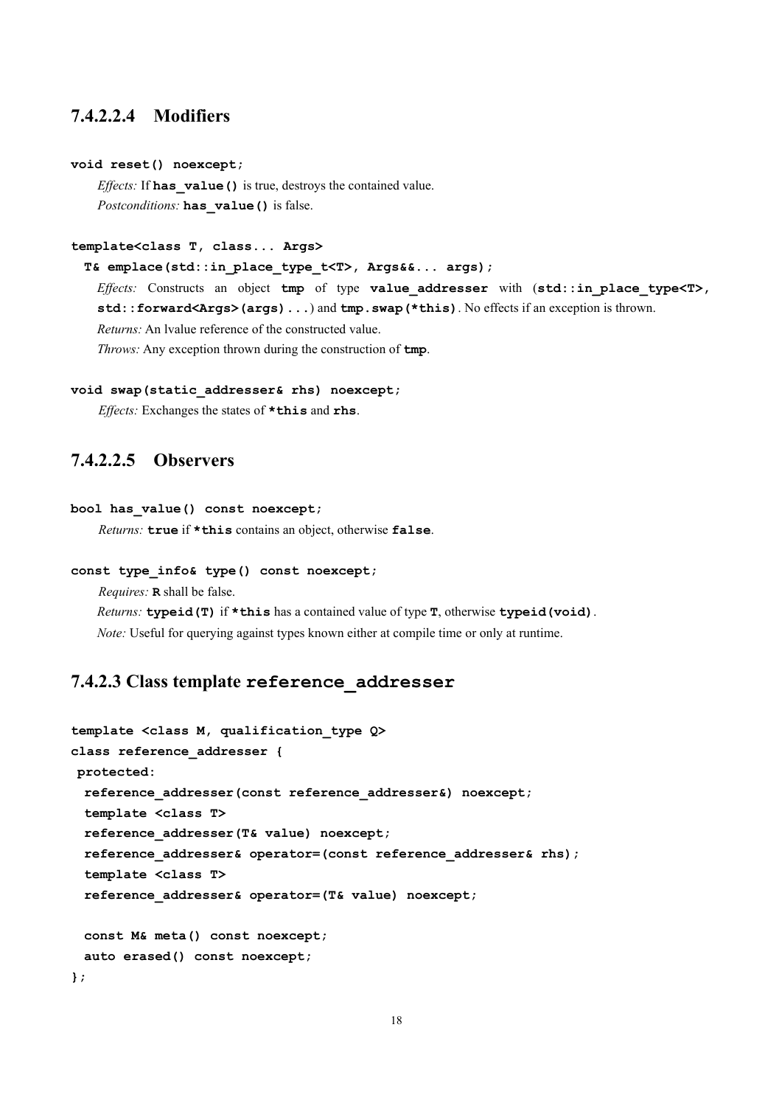### **7.4.2.2.4 Modifiers**

#### **void reset() noexcept;**

*Effects:* If **has\_value()** is true, destroys the contained value. *Postconditions:* **has\_value()** is false.

#### **template<class T, class... Args>**

 **T& emplace(std::in\_place\_type\_t<T>, Args&&... args);**

*Effects:* Constructs an object **tmp** of type **value\_addresser** with (**std::in\_place\_type<T>, std::forward<Args>(args)...**) and **tmp.swap(\*this)**. No effects if an exception is thrown. *Returns:* An lvalue reference of the constructed value.

*Throws:* Any exception thrown during the construction of **tmp**.

#### **void swap(static\_addresser& rhs) noexcept;**

*Effects:* Exchanges the states of **\*this** and **rhs**.

### **7.4.2.2.5 Observers**

#### **bool has\_value() const noexcept;**

*Returns:* **true** if **\*this** contains an object, otherwise **false**.

#### **const type\_info& type() const noexcept;**

*Requires:* **R** shall be false.

*Returns:* **typeid(T)** if **\*this** has a contained value of type **T**, otherwise **typeid(void)**. *Note:* Useful for querying against types known either at compile time or only at runtime.

### **7.4.2.3 Class template reference\_addresser**

```
template <class M, qualification_type Q>
class reference_addresser {
protected:
  reference_addresser(const reference_addresser&) noexcept;
  template <class T>
  reference_addresser(T& value) noexcept;
  reference_addresser& operator=(const reference_addresser& rhs);
  template <class T>
  reference_addresser& operator=(T& value) noexcept;
  const M& meta() const noexcept;
  auto erased() const noexcept;
};
```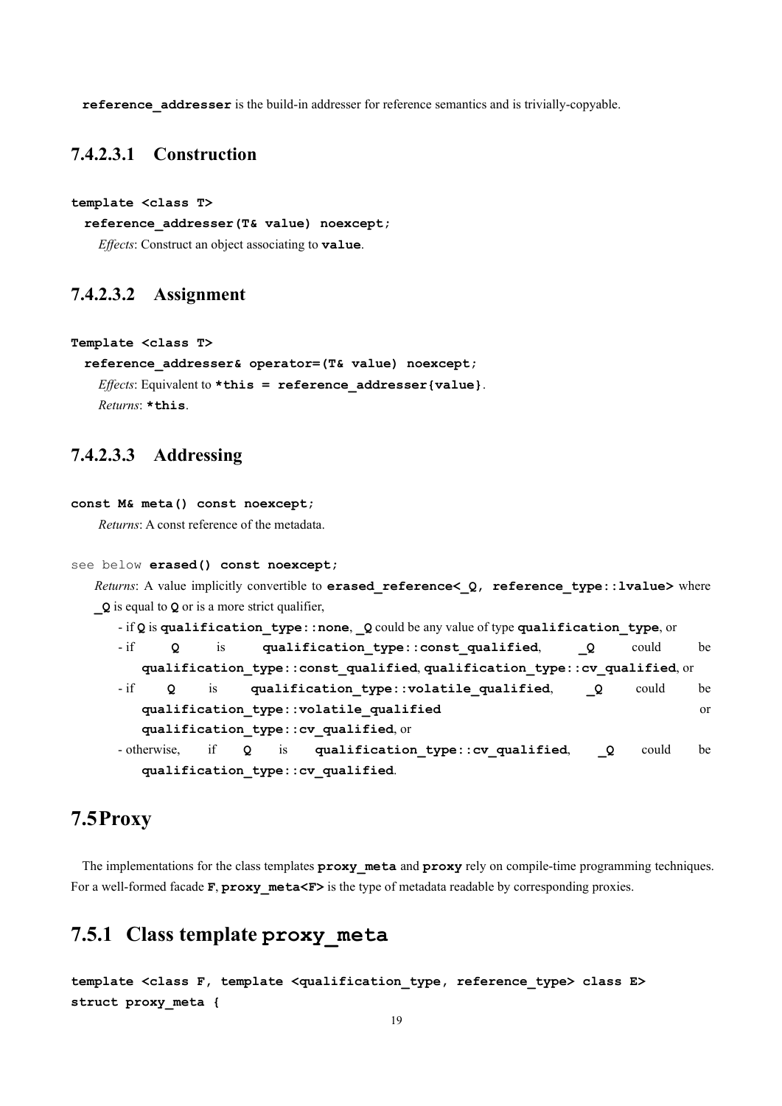**reference\_addresser** is the build-in addresser for reference semantics and is trivially-copyable.

### **7.4.2.3.1 Construction**

**template <class T>**

```
 reference_addresser(T& value) noexcept;
```
*Effects*: Construct an object associating to **value**.

### **7.4.2.3.2 Assignment**

```
Template <class T>
```

```
reference_addresser& operator=(T& value) noexcept;
 Effects: Equivalent to *this = reference_addresser{value}.
 Returns: *this.
```
### **7.4.2.3.3 Addressing**

```
const M& meta() const noexcept;
```
*Returns*: A const reference of the metadata.

```
see below erased() const noexcept;
```
*Returns*: A value implicitly convertible to **erased\_reference<\_Q, reference\_type::lvalue>** where **\_Q** is equal to **Q** or is a more strict qualifier,

```
- if Q is qualification_type::none, _Q could be any value of type qualification_type, or
- if Q is qualification_type::const_qualified, _Q could be 
  qualification_type::const_qualified, qualification_type::cv_qualified, or
- if Q is qualification_type::volatile_qualified, _Q could be 
  qualification_type::volatile_qualified or 
  qualification_type::cv_qualified, or
- otherwise, if Q is qualification_type::cv_qualified, _Q could be 
  qualification_type::cv_qualified.
```
## <span id="page-18-0"></span>**7.5Proxy**

The implementations for the class templates **proxy\_meta** and **proxy** rely on compile-time programming techniques. For a well-formed facade **F**, **proxy** meta<**F**> is the type of metadata readable by corresponding proxies.

## <span id="page-18-1"></span>**7.5.1 Class template proxy\_meta**

```
template <class F, template <qualification_type, reference_type> class E>
struct proxy_meta {
```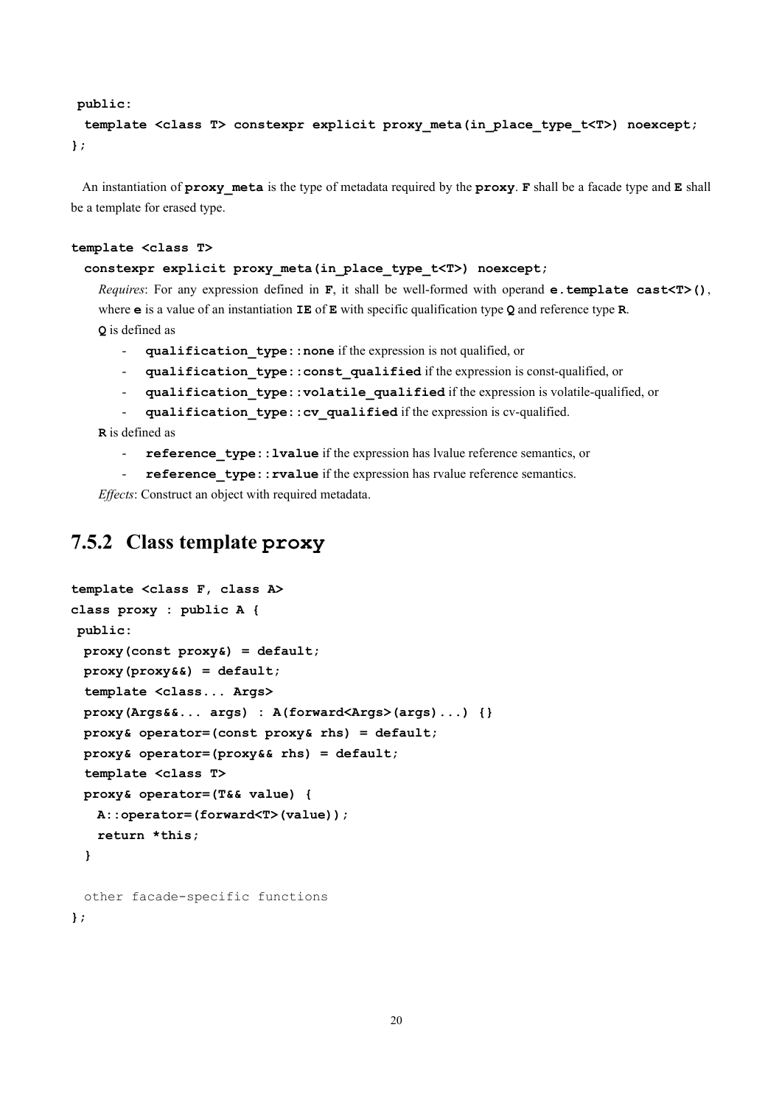#### **public:**

 **template <class T> constexpr explicit proxy\_meta(in\_place\_type\_t<T>) noexcept; };**

An instantiation of **proxy\_meta** is the type of metadata required by the **proxy**. **F** shall be a facade type and **E** shall be a template for erased type.

#### **template <class T>**

#### **constexpr explicit proxy\_meta(in\_place\_type\_t<T>) noexcept;**

*Requires*: For any expression defined in **F**, it shall be well-formed with operand **e.template cast<T>()**, where **e** is a value of an instantiation **IE** of **E** with specific qualification type **Q** and reference type **R**. **Q** is defined as

- **qualification\_type::none** if the expression is not qualified, or
- **qualification\_type::const\_qualified** if the expression is const-qualified, or
- **qualification\_type::volatile\_qualified** if the expression is volatile-qualified, or
- **qualification\_type::cv\_qualified** if the expression is cv-qualified.

**R** is defined as

- **reference\_type::lvalue** if the expression has lvalue reference semantics, or
- reference type:: rvalue if the expression has rvalue reference semantics.

*Effects*: Construct an object with required metadata.

## <span id="page-19-0"></span>**7.5.2 Class template proxy**

```
template <class F, class A>
class proxy : public A {
public:
  proxy(const proxy&) = default;
  proxy(proxy&&) = default;
  template <class... Args>
  proxy(Args&&... args) : A(forward<Args>(args)...) {}
  proxy& operator=(const proxy& rhs) = default;
  proxy& operator=(proxy&& rhs) = default;
  template <class T>
  proxy& operator=(T&& value) {
    A::operator=(forward<T>(value));
    return *this;
  }
  other facade-specific functions
```
**};**